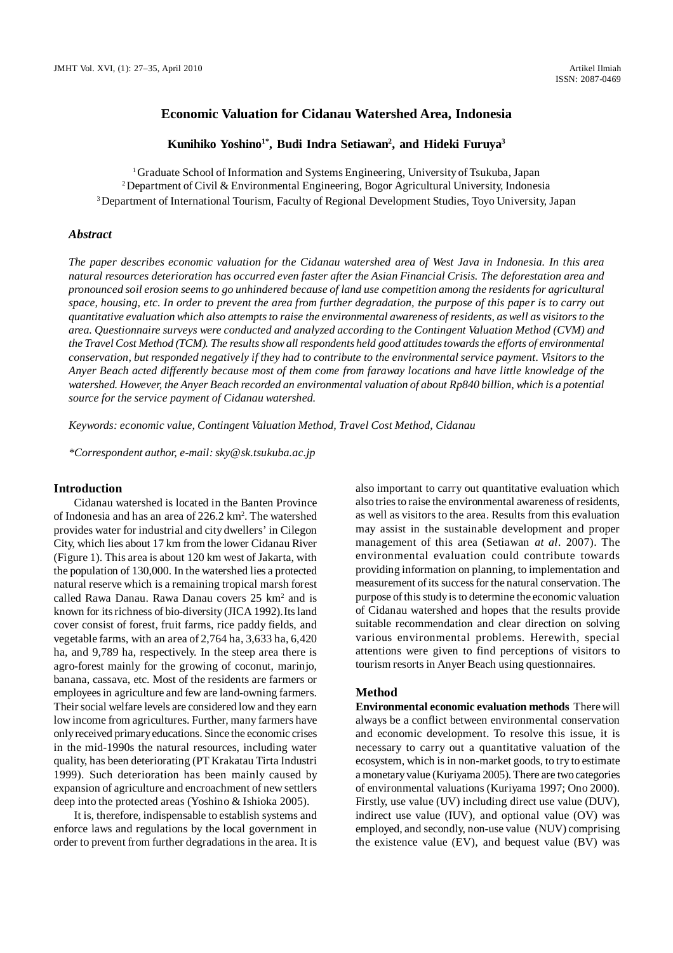### **Economic Valuation for Cidanau Watershed Area, Indonesia**

### **Kunihiko Yoshino1\*, Budi Indra Setiawan<sup>2</sup> , and Hideki Furuya<sup>3</sup>**

<sup>1</sup>Graduate School of Information and Systems Engineering, University of Tsukuba, Japan <sup>2</sup>Department of Civil & Environmental Engineering, Bogor Agricultural University, Indonesia <sup>3</sup>Department of International Tourism, Faculty of Regional Development Studies, Toyo University, Japan

#### *Abstract*

*The paper describes economic valuation for the Cidanau watershed area of West Java in Indonesia. In this area natural resources deterioration has occurred even faster after the Asian Financial Crisis. The deforestation area and pronounced soil erosion seems to go unhindered because of land use competition among the residents for agricultural space, housing, etc. In order to prevent the area from further degradation, the purpose of this paper is to carry out quantitative evaluation which also attempts to raise the environmental awareness of residents, as well as visitors to the area. Questionnaire surveys were conducted and analyzed according to the Contingent Valuation Method (CVM) and the Travel Cost Method (TCM). The results show all respondents held good attitudes towards the efforts of environmental conservation, but responded negatively if they had to contribute to the environmental service payment. Visitors to the Anyer Beach acted differently because most of them come from faraway locations and have little knowledge of the watershed. However, the Anyer Beach recorded an environmental valuation of about Rp840 billion, which is a potential source for the service payment of Cidanau watershed.*

*Keywords: economic value, Contingent Valuation Method, Travel Cost Method, Cidanau*

*\*Correspondent author, e-mail: sky@sk.tsukuba.ac.jp*

#### **Introduction**

Cidanau watershed is located in the Banten Province of Indonesia and has an area of 226.2 km<sup>2</sup>. The watershed provides water for industrial and city dwellers' in Cilegon City, which lies about 17 km from the lower Cidanau River (Figure 1). This area is about 120 km west of Jakarta, with the population of 130,000. In the watershed lies a protected natural reserve which is a remaining tropical marsh forest called Rawa Danau. Rawa Danau covers 25 km<sup>2</sup> and is known for its richness of bio-diversity (JICA 1992).Its land cover consist of forest, fruit farms, rice paddy fields, and vegetable farms, with an area of 2,764 ha, 3,633 ha, 6,420 ha, and 9,789 ha, respectively. In the steep area there is agro-forest mainly for the growing of coconut, marinjo, banana, cassava, etc. Most of the residents are farmers or employees in agriculture and few are land-owning farmers. Their social welfare levels are considered low and they earn low income from agricultures. Further, many farmers have only received primary educations. Since the economic crises in the mid-1990s the natural resources, including water quality, has been deteriorating (PT Krakatau Tirta Industri 1999). Such deterioration has been mainly caused by expansion of agriculture and encroachment of new settlers deep into the protected areas (Yoshino & Ishioka 2005).

It is, therefore, indispensable to establish systems and enforce laws and regulations by the local government in order to prevent from further degradations in the area. It is also important to carry out quantitative evaluation which also tries to raise the environmental awareness of residents, as well as visitors to the area. Results from this evaluation may assist in the sustainable development and proper management of this area (Setiawan *at al*. 2007). The environmental evaluation could contribute towards providing information on planning, to implementation and measurement of its success for the natural conservation. The purpose of this study is to determine the economic valuation of Cidanau watershed and hopes that the results provide suitable recommendation and clear direction on solving various environmental problems. Herewith, special attentions were given to find perceptions of visitors to tourism resorts in Anyer Beach using questionnaires.

#### **Method**

**Environmental economic evaluation methods** There will always be a conflict between environmental conservation and economic development. To resolve this issue, it is necessary to carry out a quantitative valuation of the ecosystem, which is in non-market goods, to try to estimate a monetary value (Kuriyama 2005). There are two categories of environmental valuations (Kuriyama 1997; Ono 2000). Firstly, use value (UV) including direct use value (DUV), indirect use value (IUV), and optional value (OV) was employed, and secondly, non-use value (NUV) comprising the existence value (EV), and bequest value (BV) was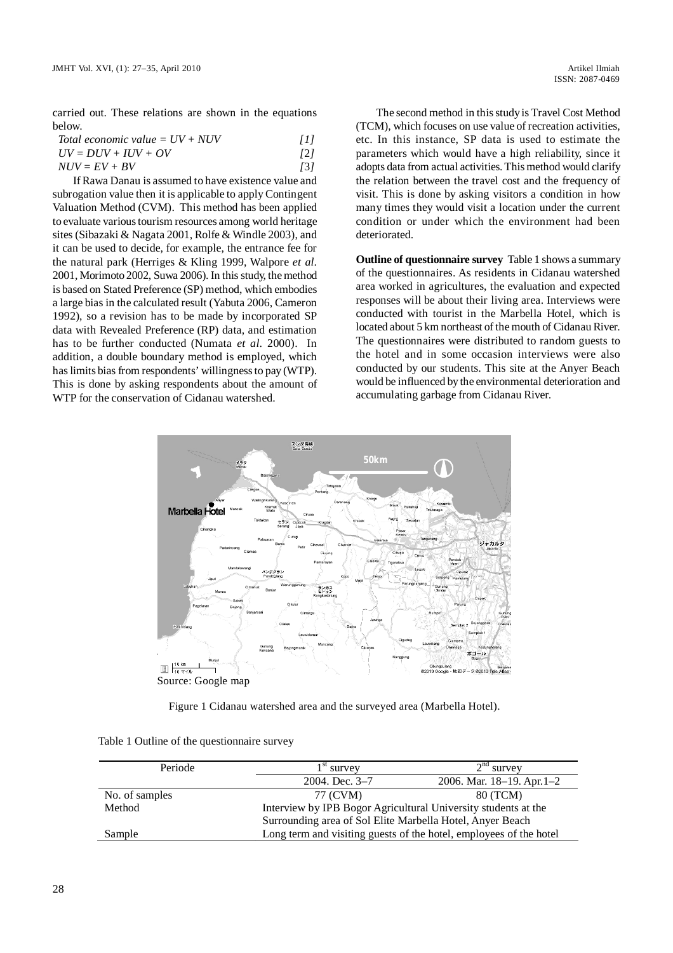carried out. These relations are shown in the equations below.

| Total economic value = $UV + NUV$ | [1] |
|-----------------------------------|-----|
|-----------------------------------|-----|

$$
UV = DUV + IUV + OV
$$
 [2]  
NUV = EV + BV [3]

If Rawa Danau is assumed to have existence value and subrogation value then it is applicable to apply Contingent Valuation Method (CVM). This method has been applied to evaluate various tourism resources among world heritage sites (Sibazaki & Nagata 2001, Rolfe & Windle 2003), and it can be used to decide, for example, the entrance fee for the natural park (Herriges & Kling 1999, Walpore *et al*. 2001, Morimoto 2002, Suwa 2006). In this study, the method is based on Stated Preference (SP) method, which embodies a large bias in the calculated result (Yabuta 2006, Cameron 1992), so a revision has to be made by incorporated SP data with Revealed Preference (RP) data, and estimation has to be further conducted (Numata *et al*. 2000). In addition, a double boundary method is employed, which has limits bias from respondents' willingness to pay (WTP). This is done by asking respondents about the amount of WTP for the conservation of Cidanau watershed.

The second method in this study is Travel Cost Method (TCM), which focuses on use value of recreation activities, etc. In this instance, SP data is used to estimate the parameters which would have a high reliability, since it adopts data from actual activities. This method would clarify the relation between the travel cost and the frequency of visit. This is done by asking visitors a condition in how many times they would visit a location under the current condition or under which the environment had been deteriorated.

**Outline of questionnaire survey** Table 1 shows a summary of the questionnaires. As residents in Cidanau watershed area worked in agricultures, the evaluation and expected responses will be about their living area. Interviews were conducted with tourist in the Marbella Hotel, which is located about 5 km northeast of the mouth of Cidanau River. The questionnaires were distributed to random guests to the hotel and in some occasion interviews were also conducted by our students. This site at the Anyer Beach would be influenced by the environmental deterioration and accumulating garbage from Cidanau River.



Figure 1 Cidanau watershed area and the surveyed area (Marbella Hotel).

| Periode        | $1st$ survey                                                       | $2nd$ survey               |  |  |
|----------------|--------------------------------------------------------------------|----------------------------|--|--|
|                | 2004. Dec. 3-7                                                     | 2006. Mar. 18-19. Apr. 1-2 |  |  |
| No. of samples | 77 (CVM)                                                           | 80 (TCM)                   |  |  |
| Method         | Interview by IPB Bogor Agricultural University students at the     |                            |  |  |
|                | Surrounding area of Sol Elite Marbella Hotel, Anyer Beach          |                            |  |  |
| Sample         | Long term and visiting guests of the hotel, employees of the hotel |                            |  |  |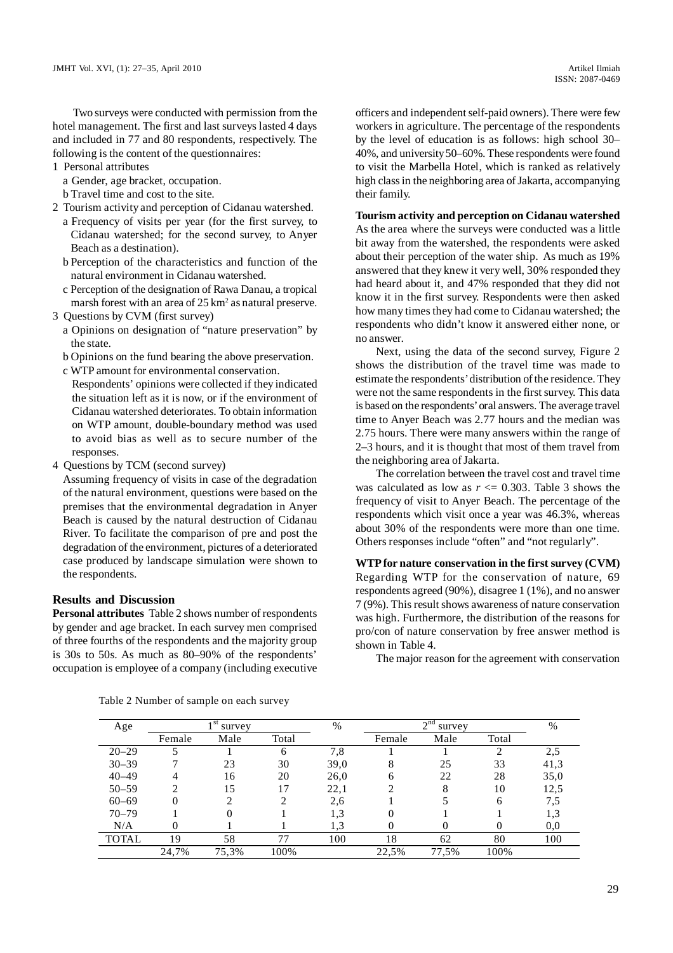Two surveys were conducted with permission from the hotel management. The first and last surveys lasted 4 days and included in 77 and 80 respondents, respectively. The following is the content of the questionnaires:

- 1 Personal attributes
	- a Gender, age bracket, occupation.
- b Travel time and cost to the site.
- 2 Tourism activity and perception of Cidanau watershed.
	- a Frequency of visits per year (for the first survey, to Cidanau watershed; for the second survey, to Anyer Beach as a destination).
	- b Perception of the characteristics and function of the natural environment in Cidanau watershed.
	- c Perception of the designation of Rawa Danau, a tropical marsh forest with an area of  $25 \text{ km}^2$  as natural preserve.
- 3 Questions by CVM (first survey)
	- a Opinions on designation of "nature preservation" by the state.

b Opinions on the fund bearing the above preservation.

c WTP amount for environmental conservation.

Respondents' opinions were collected if they indicated the situation left as it is now, or if the environment of Cidanau watershed deteriorates. To obtain information on WTP amount, double-boundary method was used to avoid bias as well as to secure number of the responses.

4 Questions by TCM (second survey)

Assuming frequency of visits in case of the degradation of the natural environment, questions were based on the premises that the environmental degradation in Anyer Beach is caused by the natural destruction of Cidanau River. To facilitate the comparison of pre and post the degradation of the environment, pictures of a deteriorated case produced by landscape simulation were shown to the respondents.

### **Results and Discussion**

**Personal attributes** Table 2 shows number of respondents by gender and age bracket. In each survey men comprised of three fourths of the respondents and the majority group is 30s to 50s. As much as 80–90% of the respondents' occupation is employee of a company (including executive officers and independent self-paid owners). There were few workers in agriculture. The percentage of the respondents by the level of education is as follows: high school 30– 40%, and university 50–60%. These respondents were found to visit the Marbella Hotel, which is ranked as relatively high class in the neighboring area of Jakarta, accompanying their family.

**Tourism activity and perception on Cidanau watershed** As the area where the surveys were conducted was a little bit away from the watershed, the respondents were asked about their perception of the water ship. As much as 19% answered that they knew it very well, 30% responded they had heard about it, and 47% responded that they did not know it in the first survey. Respondents were then asked how many times they had come to Cidanau watershed; the respondents who didn't know it answered either none, or no answer.

Next, using the data of the second survey, Figure 2 shows the distribution of the travel time was made to estimate the respondents' distribution of the residence. They were not the same respondents in the first survey. This data is based on the respondents' oral answers. The average travel time to Anyer Beach was 2.77 hours and the median was 2.75 hours. There were many answers within the range of 2–3 hours, and it is thought that most of them travel from the neighboring area of Jakarta.

The correlation between the travel cost and travel time was calculated as low as  $r \le 0.303$ . Table 3 shows the frequency of visit to Anyer Beach. The percentage of the respondents which visit once a year was 46.3%, whereas about 30% of the respondents were more than one time. Others responses include "often" and "not regularly".

**WTP for nature conservation in the first survey (CVM)** Regarding WTP for the conservation of nature, 69 respondents agreed (90%), disagree 1 (1%), and no answer 7 (9%). This result shows awareness of nature conservation was high. Furthermore, the distribution of the reasons for pro/con of nature conservation by free answer method is shown in Table 4.

The major reason for the agreement with conservation

| Age          |        | 1 <sup>st</sup><br>survey |       | %    |        | 2 <sup>nd</sup><br>survey |       | %    |
|--------------|--------|---------------------------|-------|------|--------|---------------------------|-------|------|
|              | Female | Male                      | Total |      | Female | Male                      | Total |      |
| $20 - 29$    |        |                           | h     | 7,8  |        |                           | 2     | 2.5  |
| $30 - 39$    |        | 23                        | 30    | 39,0 | 8      | 25                        | 33    | 41,3 |
| $40 - 49$    | 4      | 16                        | 20    | 26,0 | 6      | 22                        | 28    | 35,0 |
| $50 - 59$    | າ      | 15                        | 17    | 22,1 |        | 8                         | 10    | 12,5 |
| $60 - 69$    | 0      | ∍                         | ◠     | 2,6  |        |                           | 6     | 7,5  |
| $70 - 79$    |        |                           |       | 1,3  |        |                           |       | 1.3  |
| N/A          | 0      |                           |       | 1.3  |        |                           |       | 0,0  |
| <b>TOTAL</b> | 19     | 58                        | 77    | 100  | 18     | 62                        | 80    | 100  |
|              | 24,7%  | 75,3%                     | 100%  |      | 22,5%  | 77,5%                     | 100%  |      |

Table 2 Number of sample on each survey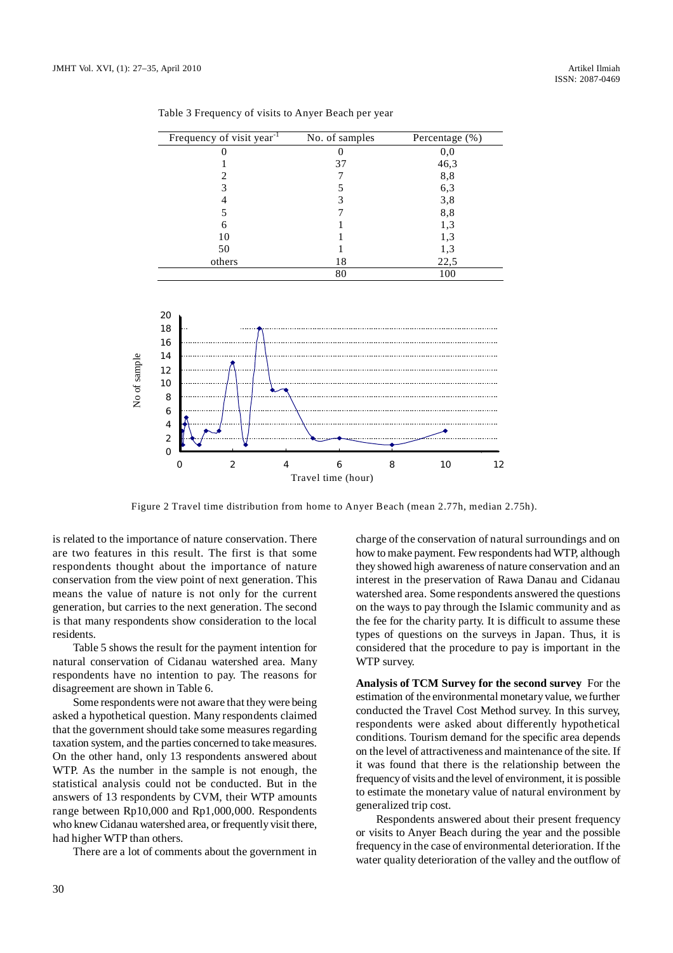| Frequency of visit year <sup>-1</sup> | No. of samples | Percentage (%) |
|---------------------------------------|----------------|----------------|
|                                       |                | $_{0,0}$       |
|                                       | 37             | 46,3           |
|                                       |                | 8,8            |
|                                       |                | 6,3            |
|                                       |                | 3,8            |
|                                       |                | 8,8            |
| 6                                     |                | 1,3            |
| 10                                    |                | 1,3            |
| 50                                    |                | 1,3            |
| others                                | 18             | 22,5           |
|                                       | 80             | 100            |

Table 3 Frequency of visits to Anyer Beach per year



is related to the importance of nature conservation. There are two features in this result. The first is that some respondents thought about the importance of nature conservation from the view point of next generation. This means the value of nature is not only for the current generation, but carries to the next generation. The second is that many respondents show consideration to the local residents.

Table 5 shows the result for the payment intention for natural conservation of Cidanau watershed area. Many respondents have no intention to pay. The reasons for disagreement are shown in Table 6.

Some respondents were not aware that they were being asked a hypothetical question. Many respondents claimed that the government should take some measures regarding taxation system, and the parties concerned to take measures. On the other hand, only 13 respondents answered about WTP. As the number in the sample is not enough, the statistical analysis could not be conducted. But in the answers of 13 respondents by CVM, their WTP amounts range between Rp10,000 and Rp1,000,000. Respondents who knew Cidanau watershed area, or frequently visit there, had higher WTP than others.

There are a lot of comments about the government in

charge of the conservation of natural surroundings and on how to make payment. Few respondents had WTP, although they showed high awareness of nature conservation and an interest in the preservation of Rawa Danau and Cidanau watershed area. Some respondents answered the questions on the ways to pay through the Islamic community and as the fee for the charity party. It is difficult to assume these types of questions on the surveys in Japan. Thus, it is considered that the procedure to pay is important in the WTP survey.

**Analysis of TCM Survey for the second survey** For the estimation of the environmental monetary value, we further conducted the Travel Cost Method survey. In this survey, respondents were asked about differently hypothetical conditions. Tourism demand for the specific area depends on the level of attractiveness and maintenance of the site. If it was found that there is the relationship between the frequency of visits and the level of environment, it is possible to estimate the monetary value of natural environment by generalized trip cost.

Respondents answered about their present frequency or visits to Anyer Beach during the year and the possible frequency in the case of environmental deterioration. If the water quality deterioration of the valley and the outflow of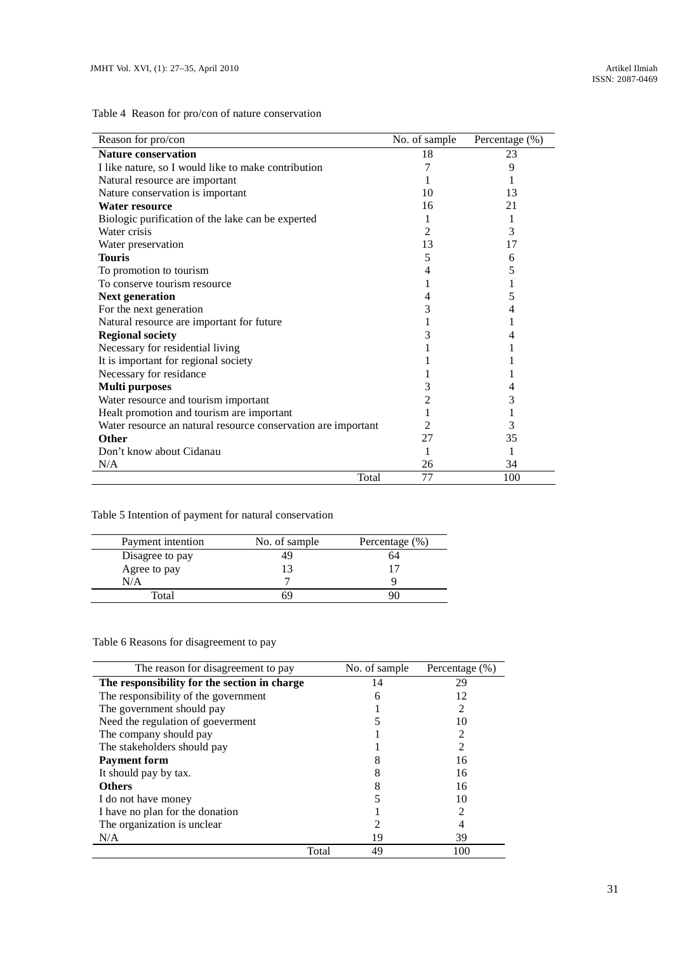Table 4 Reason for pro/con of nature conservation

| Reason for pro/con                                            | No. of sample | Percentage (%) |
|---------------------------------------------------------------|---------------|----------------|
| <b>Nature conservation</b>                                    | 18            | 23             |
| I like nature, so I would like to make contribution           |               | 9              |
| Natural resource are important                                |               |                |
| Nature conservation is important                              | 10            | 13             |
| Water resource                                                | 16            | 21             |
| Biologic purification of the lake can be experted             |               |                |
| Water crisis                                                  | 2             | 3              |
| Water preservation                                            | 13            | 17             |
| <b>Touris</b>                                                 | 5             | 6              |
| To promotion to tourism                                       |               | 5              |
| To conserve tourism resource                                  |               |                |
| <b>Next generation</b>                                        | 4             | 5              |
| For the next generation                                       | 3             | 4              |
| Natural resource are important for future                     |               |                |
| <b>Regional society</b>                                       | 3             |                |
| Necessary for residential living                              |               |                |
| It is important for regional society                          |               |                |
| Necessary for residance                                       |               |                |
| <b>Multi</b> purposes                                         | 3             |                |
| Water resource and tourism important                          | 2             | 3              |
| Healt promotion and tourism are important                     |               |                |
| Water resource an natural resource conservation are important | 2             | 3              |
| <b>Other</b>                                                  | 27            | 35             |
| Don't know about Cidanau                                      |               |                |
| N/A                                                           | 26            | 34             |
| Total                                                         | 77            | 100            |

# Table 5 Intention of payment for natural conservation

| Payment intention | No. of sample | Percentage $(\% )$ |
|-------------------|---------------|--------------------|
| Disagree to pay   | 49            | h4                 |
| Agree to pay      |               |                    |
| N/A               |               |                    |
| Total             |               |                    |

# Table 6 Reasons for disagreement to pay

| The reason for disagreement to pay           | No. of sample | Percentage (%) |
|----------------------------------------------|---------------|----------------|
| The responsibility for the section in charge | 14            | 29             |
| The responsibility of the government         | 6             | 12             |
| The government should pay                    |               | 2              |
| Need the regulation of goeverment            |               | 10             |
| The company should pay                       |               | 2              |
| The stakeholders should pay                  |               | $\mathfrak{D}$ |
| <b>Payment form</b>                          |               | 16             |
| It should pay by tax.                        |               | 16             |
| <b>Others</b>                                |               | 16             |
| I do not have money                          |               | 10             |
| I have no plan for the donation              |               |                |
| The organization is unclear                  |               |                |
| N/A                                          | 19            | 39             |
|                                              | Total<br>49   | 100            |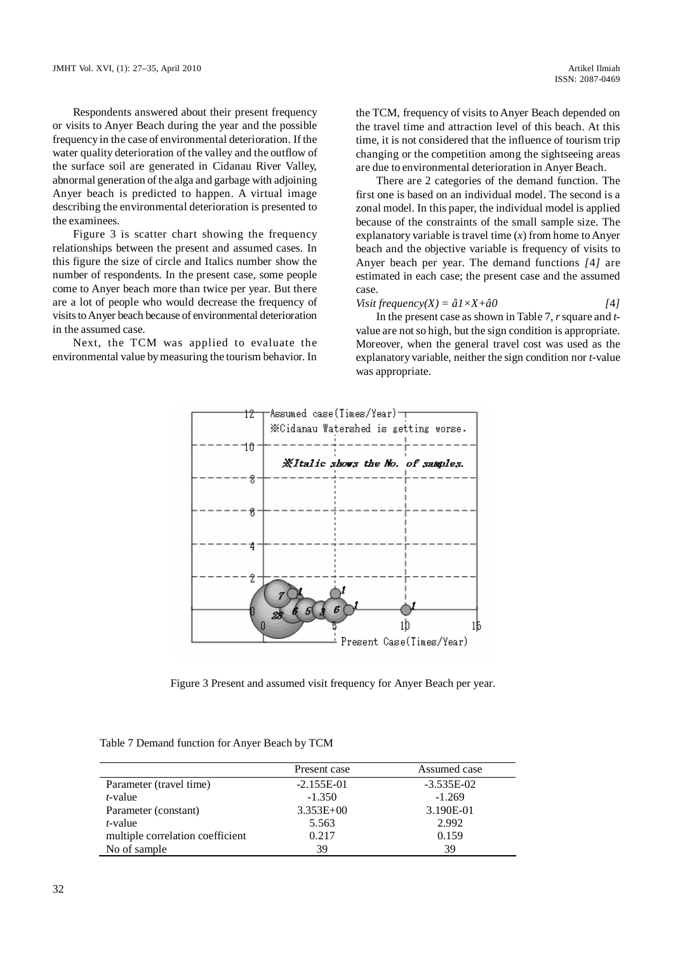Respondents answered about their present frequency or visits to Anyer Beach during the year and the possible frequency in the case of environmental deterioration. If the water quality deterioration of the valley and the outflow of the surface soil are generated in Cidanau River Valley, abnormal generation of the alga and garbage with adjoining Anyer beach is predicted to happen. A virtual image describing the environmental deterioration is presented to the examinees.

Figure 3 is scatter chart showing the frequency relationships between the present and assumed cases. In this figure the size of circle and Italics number show the number of respondents. In the present case, some people come to Anyer beach more than twice per year. But there are a lot of people who would decrease the frequency of visits to Anyer beach because of environmental deterioration in the assumed case.

Next, the TCM was applied to evaluate the environmental value by measuring the tourism behavior. In

the TCM, frequency of visits to Anyer Beach depended on the travel time and attraction level of this beach. At this time, it is not considered that the influence of tourism trip changing or the competition among the sightseeing areas are due to environmental deterioration in Anyer Beach.

There are 2 categories of the demand function. The first one is based on an individual model. The second is a zonal model. In this paper, the individual model is applied because of the constraints of the small sample size. The explanatory variable is travel time (*x*) from home to Anyer beach and the objective variable is frequency of visits to Anyer beach per year. The demand functions *[*4*]* are estimated in each case; the present case and the assumed case.

$$
Visit frequency(X) = \hat{a}1 \times X + \hat{a}0
$$
 [4]

In the present case as shown in Table 7, *r* square and *t*value are not so high, but the sign condition is appropriate. Moreover, when the general travel cost was used as the explanatory variable, neither the sign condition nor *t*-value was appropriate.



Figure 3 Present and assumed visit frequency for Anyer Beach per year.

Table 7 Demand function for Anyer Beach by TCM

|                                  | Present case  | Assumed case |
|----------------------------------|---------------|--------------|
| Parameter (travel time)          | $-2.155E-01$  | $-3.535E-02$ |
| <i>t</i> -value                  | $-1.350$      | $-1.269$     |
| Parameter (constant)             | $3.353E + 00$ | 3.190E-01    |
| $t$ -value                       | 5.563         | 2.992        |
| multiple correlation coefficient | 0.217         | 0.159        |
| No of sample                     | 39            | 39           |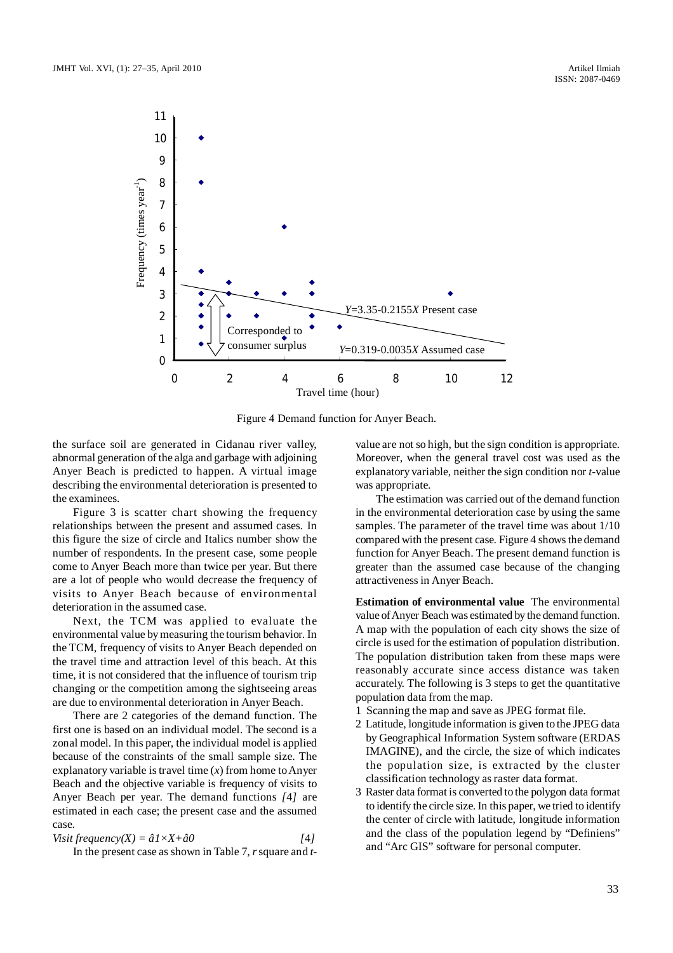

Figure 4 Demand function for Anyer Beach.

the surface soil are generated in Cidanau river valley, abnormal generation of the alga and garbage with adjoining Anyer Beach is predicted to happen. A virtual image describing the environmental deterioration is presented to the examinees.

Figure 3 is scatter chart showing the frequency relationships between the present and assumed cases. In this figure the size of circle and Italics number show the number of respondents. In the present case, some people come to Anyer Beach more than twice per year. But there are a lot of people who would decrease the frequency of visits to Anyer Beach because of environmental deterioration in the assumed case.

Next, the TCM was applied to evaluate the environmental value by measuring the tourism behavior. In the TCM, frequency of visits to Anyer Beach depended on the travel time and attraction level of this beach. At this time, it is not considered that the influence of tourism trip changing or the competition among the sightseeing areas are due to environmental deterioration in Anyer Beach.

There are 2 categories of the demand function. The first one is based on an individual model. The second is a zonal model. In this paper, the individual model is applied because of the constraints of the small sample size. The explanatory variable is travel time (*x*) from home to Anyer Beach and the objective variable is frequency of visits to Anyer Beach per year. The demand functions *[*4*]* are estimated in each case; the present case and the assumed case.

$$
Visit frequency(X) = \hat{a}1 \times X + \hat{a}0
$$
 [4]

In the present case as shown in Table 7, *r* square and *t*-

value are not so high, but the sign condition is appropriate. Moreover, when the general travel cost was used as the explanatory variable, neither the sign condition nor *t*-value was appropriate.

The estimation was carried out of the demand function in the environmental deterioration case by using the same samples. The parameter of the travel time was about 1/10 compared with the present case. Figure 4 shows the demand function for Anyer Beach. The present demand function is greater than the assumed case because of the changing attractiveness in Anyer Beach.

**Estimation of environmental value** The environmental value of Anyer Beach was estimated by the demand function. A map with the population of each city shows the size of circle is used for the estimation of population distribution. The population distribution taken from these maps were reasonably accurate since access distance was taken accurately. The following is 3 steps to get the quantitative population data from the map.

- 1 Scanning the map and save as JPEG format file.
- 2 Latitude, longitude information is given to the JPEG data by Geographical Information System software (ERDAS IMAGINE), and the circle, the size of which indicates the population size, is extracted by the cluster classification technology as raster data format.
- 3 Raster data format is converted to the polygon data format to identify the circle size. In this paper, we tried to identify the center of circle with latitude, longitude information and the class of the population legend by "Definiens" and "Arc GIS" software for personal computer.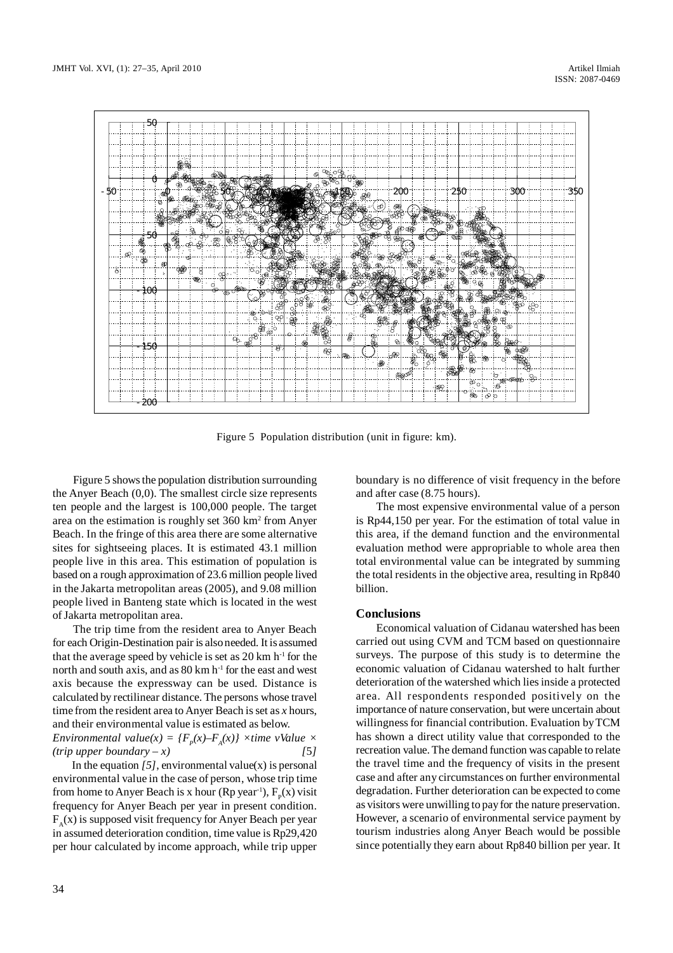

Figure 5 Population distribution (unit in figure: km).

Figure 5 shows the population distribution surrounding the Anyer Beach (0,0). The smallest circle size represents ten people and the largest is 100,000 people. The target area on the estimation is roughly set 360 km<sup>2</sup> from Anyer Beach. In the fringe of this area there are some alternative sites for sightseeing places. It is estimated 43.1 million people live in this area. This estimation of population is based on a rough approximation of 23.6 million people lived in the Jakarta metropolitan areas (2005), and 9.08 million people lived in Banteng state which is located in the west of Jakarta metropolitan area.

The trip time from the resident area to Anyer Beach for each Origin-Destination pair is also needed. It is assumed that the average speed by vehicle is set as  $20 \text{ km h}^{-1}$  for the north and south axis, and as  $80 \text{ km h}^{-1}$  for the east and west axis because the expressway can be used. Distance is calculated by rectilinear distance. The persons whose travel time from the resident area to Anyer Beach is set as *x* hours, and their environmental value is estimated as below.

*Environmental value*( $x$ ) = { $F_p(x)$  $-F_A(x)$ }  $\times$ *time vValue*  $\times$  $(trip upper boundary - x)$  [5*]* 

In the equation  $[5]$ , environmental value(x) is personal environmental value in the case of person, whose trip time from home to Anyer Beach is x hour (Rp year<sup>-1</sup>),  $F_p(x)$  visit frequency for Anyer Beach per year in present condition.  $F_A(x)$  is supposed visit frequency for Anyer Beach per year in assumed deterioration condition, time value is Rp29,420 per hour calculated by income approach, while trip upper boundary is no difference of visit frequency in the before and after case (8.75 hours).

The most expensive environmental value of a person is Rp44,150 per year. For the estimation of total value in this area, if the demand function and the environmental evaluation method were appropriable to whole area then total environmental value can be integrated by summing the total residents in the objective area, resulting in Rp840 billion.

### **Conclusions**

Economical valuation of Cidanau watershed has been carried out using CVM and TCM based on questionnaire surveys. The purpose of this study is to determine the economic valuation of Cidanau watershed to halt further deterioration of the watershed which lies inside a protected area. All respondents responded positively on the importance of nature conservation, but were uncertain about willingness for financial contribution. Evaluation by TCM has shown a direct utility value that corresponded to the recreation value. The demand function was capable to relate the travel time and the frequency of visits in the present case and after any circumstances on further environmental degradation. Further deterioration can be expected to come as visitors were unwilling to pay for the nature preservation. However, a scenario of environmental service payment by tourism industries along Anyer Beach would be possible since potentially they earn about Rp840 billion per year. It